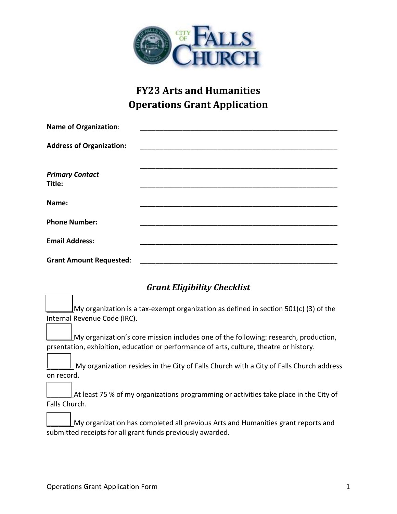

# **FY23 Arts and Humanities Operations Grant Application**

| <b>Name of Organization:</b>    |  |
|---------------------------------|--|
| <b>Address of Organization:</b> |  |
|                                 |  |
| <b>Primary Contact</b>          |  |
| Title:                          |  |
| Name:                           |  |
| <b>Phone Number:</b>            |  |
| <b>Email Address:</b>           |  |
| <b>Grant Amount Requested:</b>  |  |

# *Grant Eligibility Checklist*

My organization is a tax-exempt organization as defined in section 501(c) (3) of the Internal Revenue Code (IRC).

\_\_\_\_\_\_\_My organization's core mission includes one of the following: research, production, prsentation, exhibition, education or performance of arts, culture, theatre or history.

\_\_\_\_\_\_\_ My organization resides in the City of Falls Church with a City of Falls Church address on record.

|               | $\perp$ At least 75 % of my organizations programming or activities take place in the City of |
|---------------|-----------------------------------------------------------------------------------------------|
| Falls Church. |                                                                                               |

| ____ | $\perp$ My organization has completed all previous Arts and Humanities grant reports and |
|------|------------------------------------------------------------------------------------------|
|      | submitted receipts for all grant funds previously awarded.                               |

ı

٦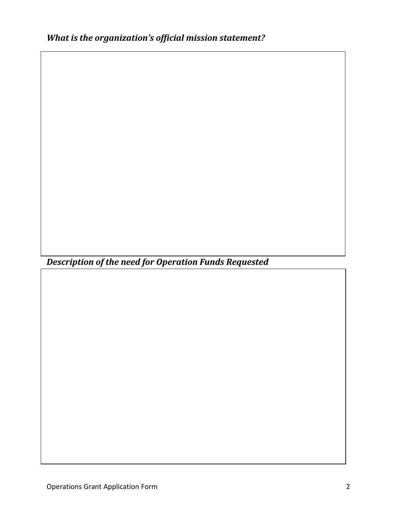*Description of the need for Operation Funds Requested*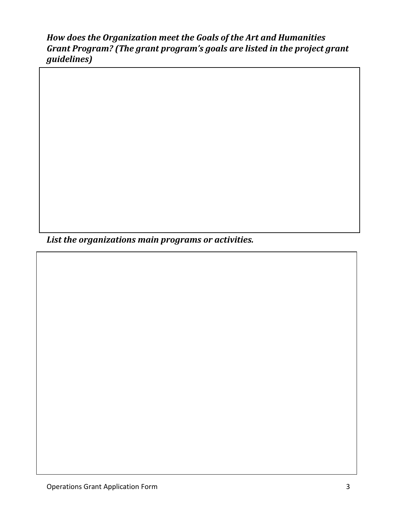# *How does the Organization meet the Goals of the Art and Humanities Grant Program? (The grant program's goals are listed in the project grant guidelines)*

*List the organizations main programs or activities.*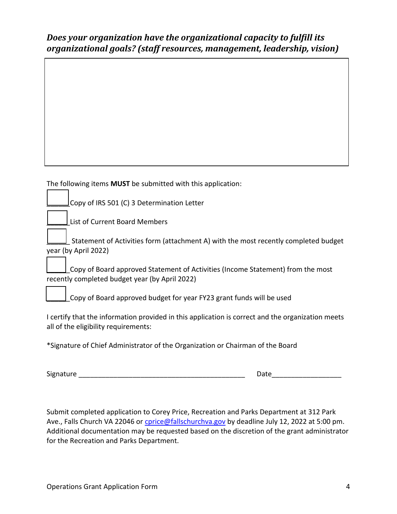## *Does your organization have the organizational capacity to fulfill its organizational goals? (staff resources, management, leadership, vision)*

#### The following items **MUST** be submitted with this application:

\_\_\_\_\_\_Copy of IRS 501 (C) 3 Determination Letter

List of Current Board Members

\_\_\_\_\_\_ Statement of Activities form (attachment A) with the most recently completed budget year (by April 2022)

Copy of Board approved Statement of Activities (Income Statement) from the most recently completed budget year (by April 2022)

Copy of Board approved budget for year FY23 grant funds will be used

I certify that the information provided in this application is correct and the organization meets all of the eligibility requirements:

\*Signature of Chief Administrator of the Organization or Chairman of the Board

Signature \_\_\_\_\_\_\_\_\_\_\_\_\_\_\_\_\_\_\_\_\_\_\_\_\_\_\_\_\_\_\_\_\_\_\_\_\_\_\_\_\_\_\_ Date\_\_\_\_\_\_\_\_\_\_\_\_\_\_\_\_\_\_

Submit completed application to Corey Price, Recreation and Parks Department at 312 Park Ave., Falls Church VA 22046 or cprice@fallschurchya.gov by deadline July 12, 2022 at 5:00 pm. Additional documentation may be requested based on the discretion of the grant administrator for the Recreation and Parks Department.